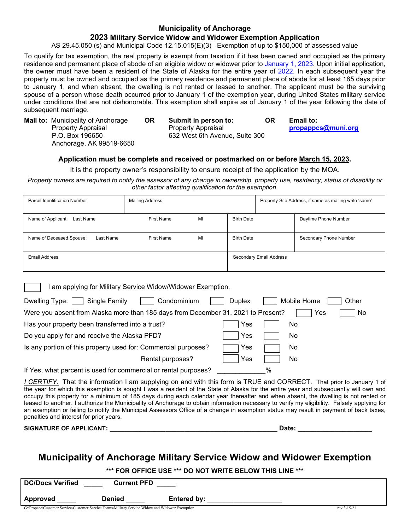### **Municipality of Anchorage**

### **2023 Military Service Widow and Widower Exemption Application**

AS 29.45.050 (s) and Municipal Code 12.15.015(E)(3) Exemption of up to \$150,000 of assessed value

To qualify for tax exemption, the real property is exempt from taxation if it has been owned and occupied as the primary residence and permanent place of abode of an eligible widow or widower prior to January 1, 2023. Upon initial application, the owner must have been a resident of the State of Alaska for the entire year of 2022. In each subsequent year the property must be owned and occupied as the primary residence and permanent place of abode for at least 185 days prior to January 1, and when absent, the dwelling is not rented or leased to another. The applicant must be the surviving spouse of a person whose death occurred prior to January 1 of the exemption year, during United States military service under conditions that are not dishonorable. This exemption shall expire as of January 1 of the year following the date of subsequent marriage.

Anchorage, AK 99519-6650

**Mail to:** Municipality of Anchorage **OR Submit in person to: OR Email to:** Property Appraisal Property Appraisal **[propappcs@muni.org](mailto:propappcs@muni.org)** 632 West 6th Avenue, Suite 300

### **Application must be complete and received or postmarked on or before March 15, 2023.**

It is the property owner's responsibility to ensure receipt of the application by the MOA.

*Property owners are required to notify the assessor of any change in ownership, property use, residency, status of disability or other factor affecting qualification for the exemption*.

| <b>Parcel Identification Number</b>                       | <b>Mailing Address</b> |    |                   |                         | Property Site Address, if same as mailing write 'same' |
|-----------------------------------------------------------|------------------------|----|-------------------|-------------------------|--------------------------------------------------------|
| Name of Applicant:<br>Last Name                           | First Name             | MI | <b>Birth Date</b> |                         | Daytime Phone Number                                   |
| Name of Deceased Spouse:<br>Last Name                     | First Name             | MI | <b>Birth Date</b> |                         | Secondary Phone Number                                 |
| Email Address                                             |                        |    |                   | Secondary Email Address |                                                        |
| am applying for Military Service Widow/Widower Exemption. |                        |    |                   |                         |                                                        |

| Single Family<br>Condominium<br>Dwelling Type:                                    | <b>Duplex</b> |   | Mobile Home | Other |
|-----------------------------------------------------------------------------------|---------------|---|-------------|-------|
| Were you absent from Alaska more than 185 days from December 31, 2021 to Present? |               |   | Yes         | No.   |
| Has your property been transferred into a trust?                                  | Yes           |   | No          |       |
| Do you apply for and receive the Alaska PFD?                                      | Yes           |   | No          |       |
| Is any portion of this property used for: Commercial purposes?                    | Yes           |   | No          |       |
| Rental purposes?                                                                  | Yes           |   | No          |       |
| If Yes, what percent is used for commercial or rental purposes?                   |               | % |             |       |

*I CERTIFY:* That the information I am supplying on and with this form is TRUE and CORRECT. That prior to January 1 of the year for which this exemption is sought I was a resident of the State of Alaska for the entire year and subsequently will own and occupy this property for a minimum of 185 days during each calendar year thereafter and when absent, the dwelling is not rented or leased to another. I authorize the Municipality of Anchorage to obtain information necessary to verify my eligibility. Falsely applying for an exemption or failing to notify the Municipal Assessors Office of a change in exemption status may result in payment of back taxes, penalties and interest for prior years.

**SIGNATURE OF APPLICANT: \_\_\_\_\_\_\_\_\_\_\_\_\_\_\_\_\_\_\_\_\_\_\_\_\_\_\_\_\_\_\_\_\_\_\_\_\_\_\_\_\_\_\_\_\_ Date: \_\_\_\_\_\_\_\_\_\_\_\_\_\_\_\_\_\_\_\_**

## **Municipality of Anchorage Military Service Widow and Widower Exemption**

### **\*\*\* FOR OFFICE USE \*\*\* DO NOT WRITE BELOW THIS LINE \*\*\***

| <b>DC/Docs Verified</b>                                 | <b>Current PFD</b>                                                                                               |                           |                      |
|---------------------------------------------------------|------------------------------------------------------------------------------------------------------------------|---------------------------|----------------------|
| Approved                                                | Denied                                                                                                           | <b>Entered by:</b>        |                      |
| $\sim$ $\sim$ $\sim$ $\sim$ $\sim$ $\sim$ $\sim$ $\sim$ | $\mathbf{a}$ and $\mathbf{a}$ and $\mathbf{a}$ and $\mathbf{a}$ and $\mathbf{a}$<br>$x + y + 1$<br>$\sim$ $\sim$ | <b>1.777.1.</b><br>$\sim$ | $\sim$ $\sim$ $\sim$ |

G:\Propapr\Customer Service\Customer Service Forms\Military Service Widow and Widower Exemption rev 3-15-21 rev 3-15-21